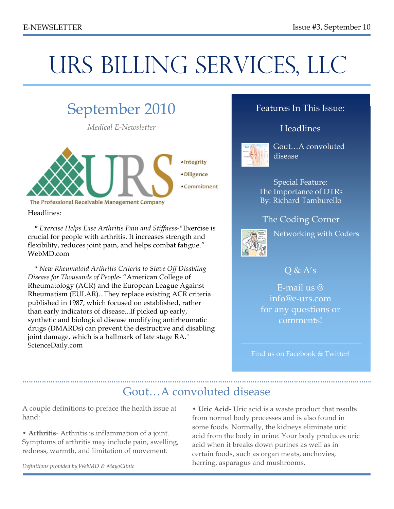# URS BILLING SERVICES, LLC

### September 2010 *Medical E-Newsletter* · Integrity · Diligence • Commitment The Professional Receivable Management Company

Headlines:

 \* *Exercise Helps Ease Arthritis Pain and Stiffness-"*Exercise is crucial for people with arthritis. It increases strength and flexibility, reduces joint pain, and helps combat fatigue." WebMD.com

 \* *New Rheumatoid Arthritis Criteria to Stave Off Disabling Disease for Thousands of People*- "American College of Rheumatology (ACR) and the European League Against Rheumatism (EULAR)...They replace existing ACR criteria published in 1987, which focused on established, rather than early indicators of disease...If picked up early, synthetic and biological disease modifying antirheumatic drugs (DMARDs) can prevent the destructive and disabling joint damage, which is a hallmark of late stage RA." ScienceDaily.com

#### Features In This Issue:

#### Headlines



Gout…A convoluted disease

Special Feature: The Importance of DTRs By: Richard Tamburello

#### The Coding Corner



Networking with Coders

#### $O & A's$

E-mail us @ info@e-urs.com for any questions or comments!

Find us on Facebook & Twitter!

### Gout…A convoluted disease

A couple definitions to preface the health issue at hand:

• **Arthritis**- Arthritis is inflammation of a joint. Symptoms of arthritis may include pain, swelling, redness, warmth, and limitation of movement.

• **Uric Acid-** Uric acid is a waste product that results from normal body processes and is also found in some foods. Normally, the kidneys eliminate uric acid from the body in urine. Your body produces uric acid when it breaks down purines as well as in certain foods, such as organ meats, anchovies, herring, asparagus and mushrooms.

*Definitions provided by WebMD & MayoClinic*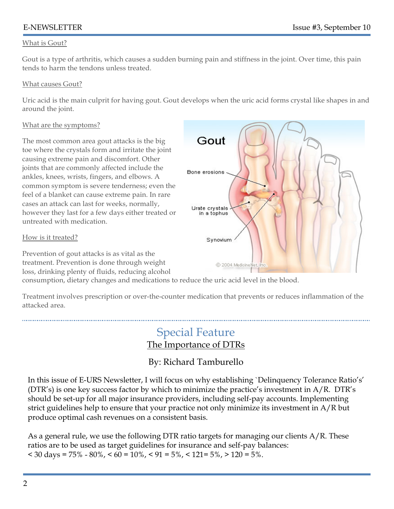#### What is Gout?

Gout is a type of arthritis, which causes a sudden burning pain and stiffness in the joint. Over time, this pain tends to harm the tendons unless treated.

#### What causes Gout?

Uric acid is the main culprit for having gout. Gout develops when the uric acid forms crystal like shapes in and around the joint.

#### What are the symptoms?

The most common area gout attacks is the big toe where the crystals form and irritate the joint causing extreme pain and discomfort. Other joints that are commonly affected include the ankles, knees, wrists, fingers, and elbows. A common symptom is severe tenderness; even the feel of a blanket can cause extreme pain. In rare cases an attack can last for weeks, normally, however they last for a few days either treated or untreated with medication.

#### How is it treated?

Prevention of gout attacks is as vital as the treatment. Prevention is done through weight loss, drinking plenty of fluids, reducing alcohol



consumption, dietary changes and medications to reduce the uric acid level in the blood.

Treatment involves prescription or over-the-counter medication that prevents or reduces inflammation of the attacked area.

### Special Feature The Importance of DTRs

#### By: Richard Tamburello

In this issue of E-URS Newsletter, I will focus on why establishing `Delinquency Tolerance Ratio's' (DTR's) is one key success factor by which to minimize the practice's investment in A/R. DTR's should be set-up for all major insurance providers, including self-pay accounts. Implementing strict guidelines help to ensure that your practice not only minimize its investment in A/R but produce optimal cash revenues on a consistent basis.

As a general rule, we use the following DTR ratio targets for managing our clients A/R. These ratios are to be used as target guidelines for insurance and self-pay balances:  $\langle 30 \text{ days} = 75\% - 80\%, \langle 60 \rangle = 10\%, \langle 91 \rangle = 5\%, \langle 121 \rangle = 5\%, \langle 120 \rangle = 5\%$ .